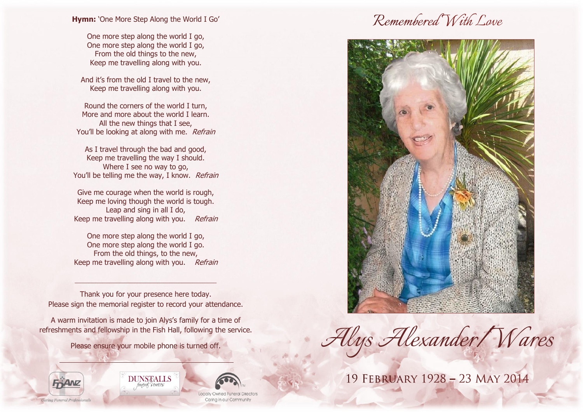**Hymn:** 'One More Step Along the World I Go'

One more step along the world I go, One more step along the world I go, From the old things to the new, Keep me travelling along with you.

And it's from the old I travel to the new, Keep me travelling along with you.

Round the corners of the world I turn, More and more about the world I learn. All the new things that I see, You'll be looking at along with me. Refrain

As I travel through the bad and good, Keep me travelling the way I should. Where I see no way to go, You'll be telling me the way, I know. Refrain

Give me courage when the world is rough, Keep me loving though the world is tough. Leap and sing in all I do, Keep me travelling along with you. Refrain

One more step along the world I go, One more step along the world I go. From the old things, to the new, Keep me travelling along with you. Refrain

Thank you for your presence here today. Please sign the memorial register to record your attendance.

\_\_\_\_\_\_\_\_\_\_\_\_\_\_\_\_\_\_\_\_\_\_\_\_\_\_\_\_\_\_\_\_\_\_\_\_\_\_\_\_\_

A warm invitation is made to join Alys's family for a time of refreshments and fellowship in the Fish Hall, following the service.

Please ensure your mobile phone is turned off.







Locally Owned Funeral Directo Carina in our Community

# Remembered With Love



*Alys Alexander/Wares*

19 FEBRUARY 1928 - 23 MAY 2014